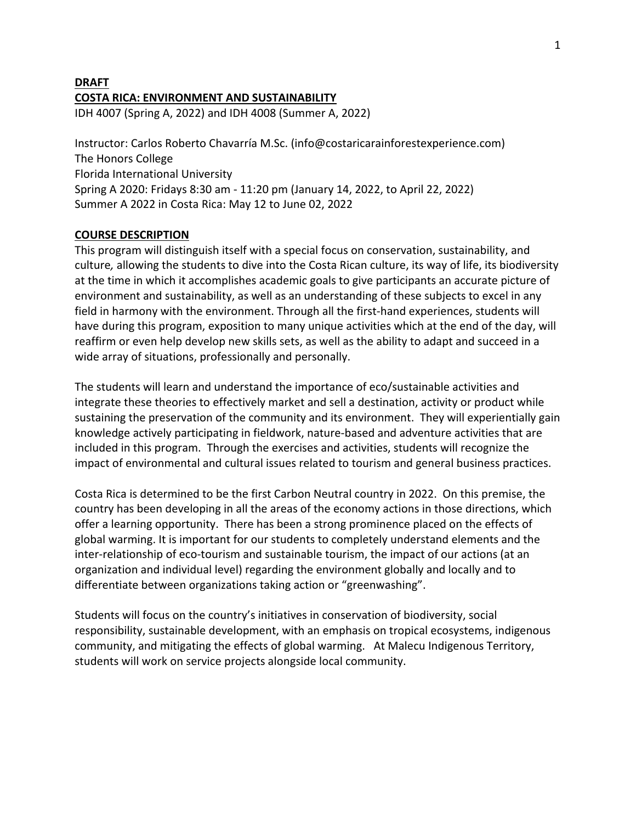# **DRAFT COSTA RICA: ENVIRONMENT AND SUSTAINABILITY**

IDH 4007 (Spring A, 2022) and IDH 4008 (Summer A, 2022)

Instructor: Carlos Roberto Chavarría M.Sc. (info@costaricarainforestexperience.com) The Honors College Florida International University Spring A 2020: Fridays 8:30 am - 11:20 pm (January 14, 2022, to April 22, 2022) Summer A 2022 in Costa Rica: May 12 to June 02, 2022

## **COURSE DESCRIPTION**

This program will distinguish itself with a special focus on conservation, sustainability, and culture*,* allowing the students to dive into the Costa Rican culture, its way of life, its biodiversity at the time in which it accomplishes academic goals to give participants an accurate picture of environment and sustainability, as well as an understanding of these subjects to excel in any field in harmony with the environment. Through all the first-hand experiences, students will have during this program, exposition to many unique activities which at the end of the day, will reaffirm or even help develop new skills sets, as well as the ability to adapt and succeed in a wide array of situations, professionally and personally.

The students will learn and understand the importance of eco/sustainable activities and integrate these theories to effectively market and sell a destination, activity or product while sustaining the preservation of the community and its environment. They will experientially gain knowledge actively participating in fieldwork, nature-based and adventure activities that are included in this program. Through the exercises and activities, students will recognize the impact of environmental and cultural issues related to tourism and general business practices.

Costa Rica is determined to be the first Carbon Neutral country in 2022. On this premise, the country has been developing in all the areas of the economy actions in those directions, which offer a learning opportunity. There has been a strong prominence placed on the effects of global warming. It is important for our students to completely understand elements and the inter-relationship of eco-tourism and sustainable tourism, the impact of our actions (at an organization and individual level) regarding the environment globally and locally and to differentiate between organizations taking action or "greenwashing".

Students will focus on the country's initiatives in conservation of biodiversity, social responsibility, sustainable development, with an emphasis on tropical ecosystems, indigenous community, and mitigating the effects of global warming. At Malecu Indigenous Territory, students will work on service projects alongside local community.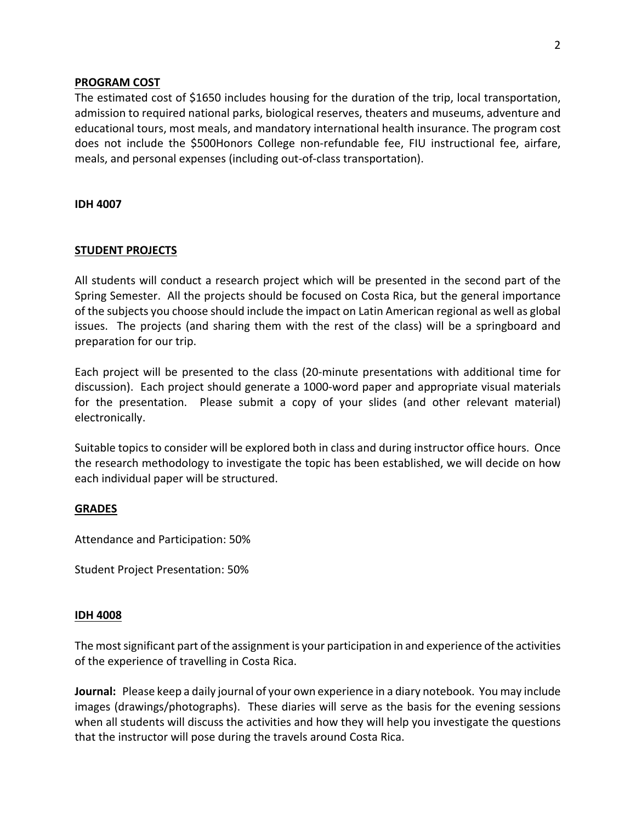#### **PROGRAM COST**

The estimated cost of \$1650 includes housing for the duration of the trip, local transportation, admission to required national parks, biological reserves, theaters and museums, adventure and educational tours, most meals, and mandatory international health insurance. The program cost does not include the \$500Honors College non-refundable fee, FIU instructional fee, airfare, meals, and personal expenses (including out-of-class transportation).

**IDH 4007**

## **STUDENT PROJECTS**

All students will conduct a research project which will be presented in the second part of the Spring Semester. All the projects should be focused on Costa Rica, but the general importance of the subjects you choose should include the impact on Latin American regional as well as global issues. The projects (and sharing them with the rest of the class) will be a springboard and preparation for our trip.

Each project will be presented to the class (20-minute presentations with additional time for discussion). Each project should generate a 1000-word paper and appropriate visual materials for the presentation. Please submit a copy of your slides (and other relevant material) electronically.

Suitable topics to consider will be explored both in class and during instructor office hours. Once the research methodology to investigate the topic has been established, we will decide on how each individual paper will be structured.

## **GRADES**

Attendance and Participation: 50%

Student Project Presentation: 50%

## **IDH 4008**

The most significant part of the assignment is your participation in and experience of the activities of the experience of travelling in Costa Rica.

**Journal:** Please keep a daily journal of your own experience in a diary notebook. You may include images (drawings/photographs). These diaries will serve as the basis for the evening sessions when all students will discuss the activities and how they will help you investigate the questions that the instructor will pose during the travels around Costa Rica.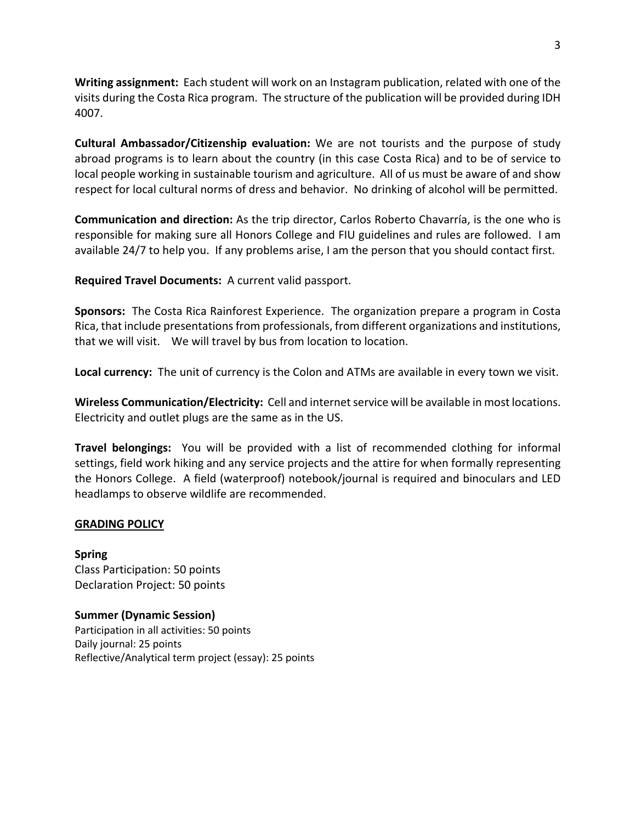**Writing assignment:** Each student will work on an Instagram publication, related with one of the visits during the Costa Rica program. The structure of the publication will be provided during IDH 4007.

**Cultural Ambassador/Citizenship evaluation:** We are not tourists and the purpose of study abroad programs is to learn about the country (in this case Costa Rica) and to be of service to local people working in sustainable tourism and agriculture. All of us must be aware of and show respect for local cultural norms of dress and behavior. No drinking of alcohol will be permitted.

**Communication and direction:** As the trip director, Carlos Roberto Chavarría, is the one who is responsible for making sure all Honors College and FIU guidelines and rules are followed. I am available 24/7 to help you. If any problems arise, I am the person that you should contact first.

**Required Travel Documents:** A current valid passport.

**Sponsors:** The Costa Rica Rainforest Experience. The organization prepare a program in Costa Rica, that include presentations from professionals, from different organizations and institutions, that we will visit. We will travel by bus from location to location.

**Local currency:** The unit of currency is the Colon and ATMs are available in every town we visit.

**Wireless Communication/Electricity:** Cell and internet service will be available in most locations. Electricity and outlet plugs are the same as in the US.

**Travel belongings:** You will be provided with a list of recommended clothing for informal settings, field work hiking and any service projects and the attire for when formally representing the Honors College. A field (waterproof) notebook/journal is required and binoculars and LED headlamps to observe wildlife are recommended.

## **GRADING POLICY**

**Spring** Class Participation: 50 points Declaration Project: 50 points

**Summer (Dynamic Session)** Participation in all activities: 50 points Daily journal: 25 points Reflective/Analytical term project (essay): 25 points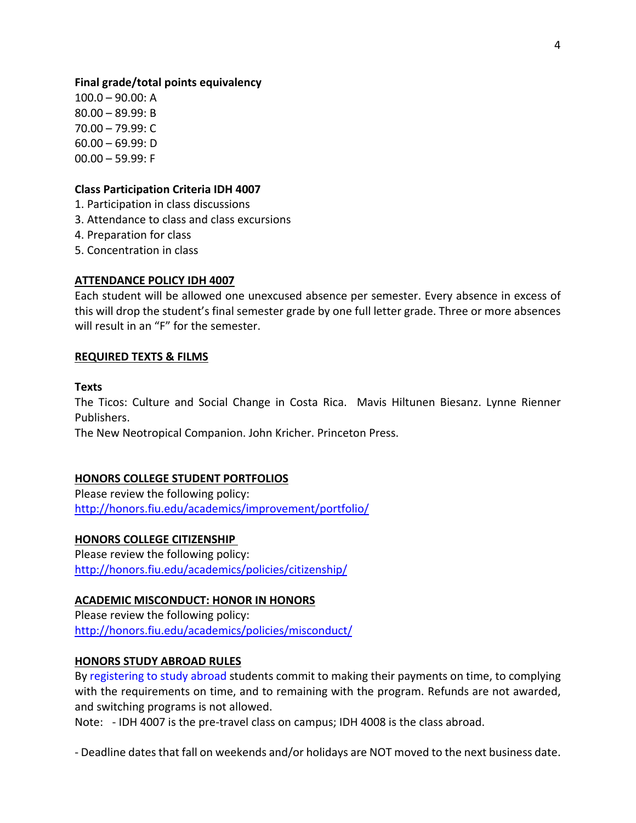#### **Final grade/total points equivalency**

100.0 – 90.00: A 80.00 – 89.99: B 70.00 – 79.99: C  $60.00 - 69.99$ : D  $00.00 - 59.99$ : F

#### **Class Participation Criteria IDH 4007**

- 1. Participation in class discussions
- 3. Attendance to class and class excursions
- 4. Preparation for class
- 5. Concentration in class

#### **ATTENDANCE POLICY IDH 4007**

Each student will be allowed one unexcused absence per semester. Every absence in excess of this will drop the student's final semester grade by one full letter grade. Three or more absences will result in an "F" for the semester.

#### **REQUIRED TEXTS & FILMS**

#### **Texts**

The Ticos: Culture and Social Change in Costa Rica. Mavis Hiltunen Biesanz. Lynne Rienner Publishers.

The New Neotropical Companion. John Kricher. Princeton Press.

#### **HONORS COLLEGE STUDENT PORTFOLIOS**

Please review the following policy: <http://honors.fiu.edu/academics/improvement/portfolio/>

#### **HONORS COLLEGE CITIZENSHIP**

Please review the following policy: <http://honors.fiu.edu/academics/policies/citizenship/>

#### **ACADEMIC MISCONDUCT: HONOR IN HONORS**

Please review the following policy: <http://honors.fiu.edu/academics/policies/misconduct/>

#### **HONORS STUDY ABROAD RULES**

By [registering to study abroad](https://honors.fiu.edu/studyabroad/instructions-to-register) students commit to making their payments on time, to complying with the requirements on time, and to remaining with the program. Refunds are not awarded, and switching programs is not allowed.

Note: - IDH 4007 is the pre-travel class on campus; IDH 4008 is the class abroad.

- Deadline dates that fall on weekends and/or holidays are NOT moved to the next business date.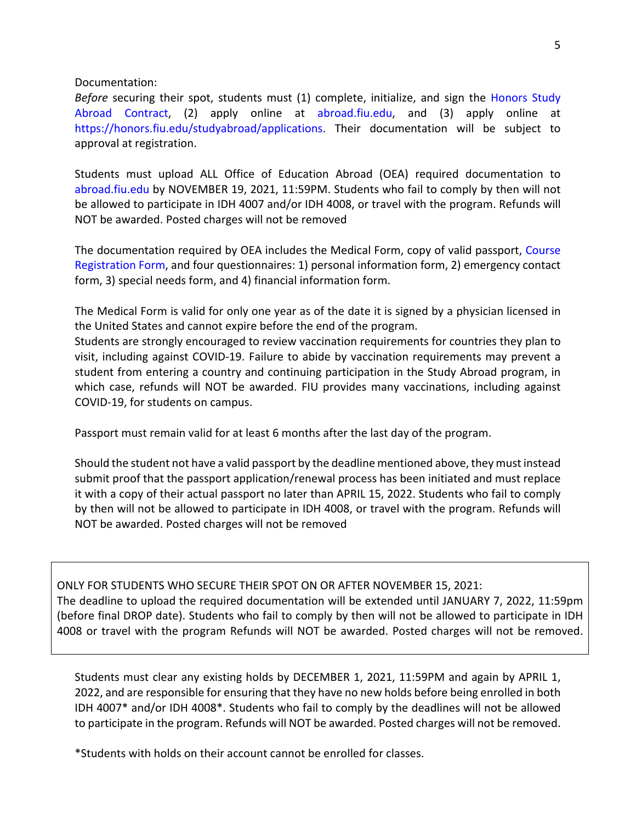Documentation:

*Before* securing their spot, students must (1) complete, initialize, and sign the Honors Study Abroad Contract, (2) apply online at [abroad.fiu.edu,](https://abroad.fiu.edu/index.cfm?FuseAction=Programs.AdvancedSearch) and (3) apply online at [https://honors.fiu.edu/studyabroad/applications.](https://honors.fiu.edu/studyabroad/applications) Their documentation will be subject to approval at registration.

Students must upload ALL Office of Education Abroad (OEA) required documentation to [abroad.fiu.edu](https://abroad.fiu.edu/index.cfm?FuseAction=Programs.AdvancedSearch) by NOVEMBER 19, 2021, 11:59PM. Students who fail to comply by then will not be allowed to participate in IDH 4007 and/or IDH 4008, or travel with the program. Refunds will NOT be awarded. Posted charges will not be removed

The documentation required by OEA includes the Medical Form, copy of valid passport, [Course](https://honors.fiu.edu/studyabroad/crf)  [Registration Form,](https://honors.fiu.edu/studyabroad/crf) and four questionnaires: 1) personal information form, 2) emergency contact form, 3) special needs form, and 4) financial information form.

The Medical Form is valid for only one year as of the date it is signed by a physician licensed in the United States and cannot expire before the end of the program.

Students are strongly encouraged to review vaccination requirements for countries they plan to visit, including against COVID-19. Failure to abide by vaccination requirements may prevent a student from entering a country and continuing participation in the Study Abroad program, in which case, refunds will NOT be awarded. FIU provides many vaccinations, including against COVID-19, for students on campus.

Passport must remain valid for at least 6 months after the last day of the program.

Should the student not have a valid passport by the deadline mentioned above, they must instead submit proof that the passport application/renewal process has been initiated and must replace it with a copy of their actual passport no later than APRIL 15, 2022. Students who fail to comply by then will not be allowed to participate in IDH 4008, or travel with the program. Refunds will NOT be awarded. Posted charges will not be removed

#### ONLY FOR STUDENTS WHO SECURE THEIR SPOT ON OR AFTER NOVEMBER 15, 2021:

The deadline to upload the required documentation will be extended until JANUARY 7, 2022, 11:59pm (before final DROP date). Students who fail to comply by then will not be allowed to participate in IDH 4008 or travel with the program Refunds will NOT be awarded. Posted charges will not be removed.

Students must clear any existing holds by DECEMBER 1, 2021, 11:59PM and again by APRIL 1, 2022, and are responsible for ensuring that they have no new holds before being enrolled in both IDH 4007\* and/or IDH 4008\*. Students who fail to comply by the deadlines will not be allowed to participate in the program. Refunds will NOT be awarded. Posted charges will not be removed.

\*Students with holds on their account cannot be enrolled for classes.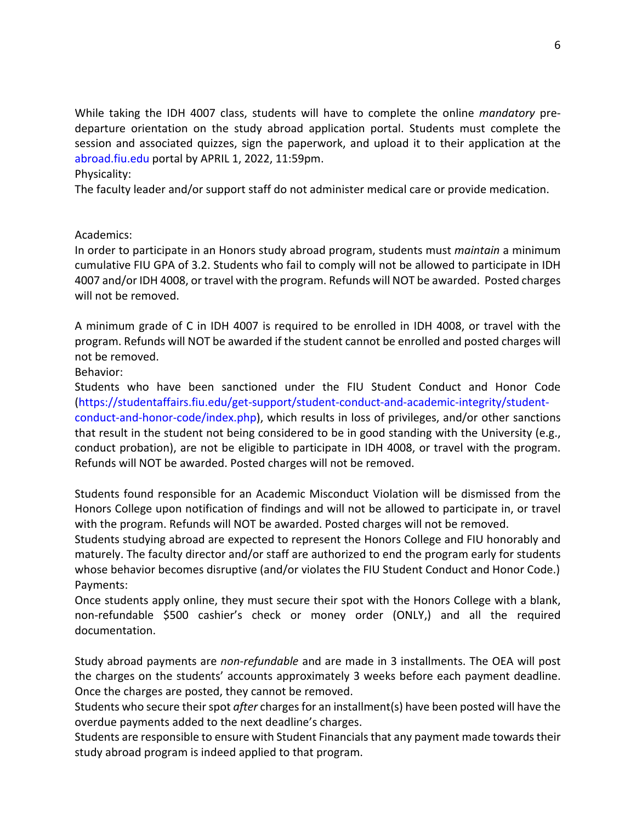While taking the IDH 4007 class, students will have to complete the online *mandatory* predeparture orientation on the study abroad application portal. Students must complete the session and associated quizzes, sign the paperwork, and upload it to their application at the [abroad.fiu.edu](https://abroad.fiu.edu/index.cfm?FuseAction=Programs.AdvancedSearch) portal by APRIL 1, 2022, 11:59pm.

## Physicality:

The faculty leader and/or support staff do not administer medical care or provide medication.

## Academics:

In order to participate in an Honors study abroad program, students must *maintain* a minimum cumulative FIU GPA of 3.2. Students who fail to comply will not be allowed to participate in IDH 4007 and/or IDH 4008, or travel with the program. Refunds will NOT be awarded. Posted charges will not be removed.

A minimum grade of C in IDH 4007 is required to be enrolled in IDH 4008, or travel with the program. Refunds will NOT be awarded if the student cannot be enrolled and posted charges will not be removed.

Behavior:

Students who have been sanctioned under the FIU Student Conduct and Honor Code [\(https://studentaffairs.fiu.edu/get-support/student-conduct-and-academic-integrity/student](https://studentaffairs.fiu.edu/get-support/student-conduct-and-academic-integrity/student-conduct-and-honor-code/index.php)[conduct-and-honor-code/index.php\)](https://studentaffairs.fiu.edu/get-support/student-conduct-and-academic-integrity/student-conduct-and-honor-code/index.php), which results in loss of privileges, and/or other sanctions that result in the student not being considered to be in good standing with the University (e.g., conduct probation), are not be eligible to participate in IDH 4008, or travel with the program. Refunds will NOT be awarded. Posted charges will not be removed.

Students found responsible for an Academic Misconduct Violation will be dismissed from the Honors College upon notification of findings and will not be allowed to participate in, or travel with the program. Refunds will NOT be awarded. Posted charges will not be removed.

Students studying abroad are expected to represent the Honors College and FIU honorably and maturely. The faculty director and/or staff are authorized to end the program early for students whose behavior becomes disruptive (and/or violates the FIU Student Conduct and Honor Code.) Payments:

Once students apply online, they must secure their spot with the Honors College with a blank, non-refundable \$500 cashier's check or money order (ONLY,) and all the required documentation.

Study abroad payments are *non-refundable* and are made in 3 installments. The OEA will post the charges on the students' accounts approximately 3 weeks before each payment deadline. Once the charges are posted, they cannot be removed.

Students who secure their spot *after* charges for an installment(s) have been posted will have the overdue payments added to the next deadline's charges.

Students are responsible to ensure with Student Financials that any payment made towards their study abroad program is indeed applied to that program.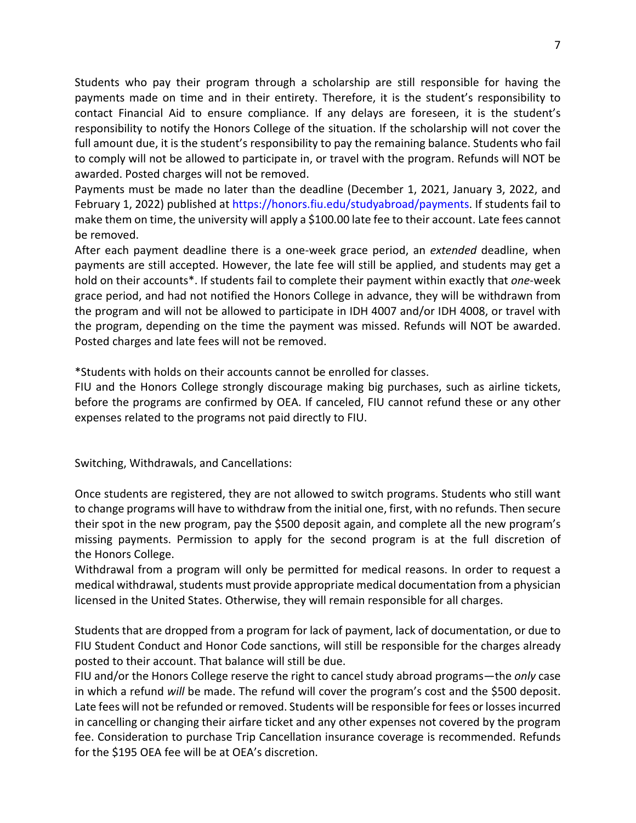Students who pay their program through a scholarship are still responsible for having the payments made on time and in their entirety. Therefore, it is the student's responsibility to contact Financial Aid to ensure compliance. If any delays are foreseen, it is the student's responsibility to notify the Honors College of the situation. If the scholarship will not cover the full amount due, it is the student's responsibility to pay the remaining balance. Students who fail to comply will not be allowed to participate in, or travel with the program. Refunds will NOT be awarded. Posted charges will not be removed.

Payments must be made no later than the deadline (December 1, 2021, January 3, 2022, and February 1, 2022) published at [https://honors.fiu.edu/studyabroad/payments.](https://honors.fiu.edu/studyabroad/payments) If students fail to make them on time, the university will apply a \$100.00 late fee to their account. Late fees cannot be removed.

After each payment deadline there is a one-week grace period, an *extended* deadline, when payments are still accepted. However, the late fee will still be applied, and students may get a hold on their accounts\*. If students fail to complete their payment within exactly that *one*-week grace period, and had not notified the Honors College in advance, they will be withdrawn from the program and will not be allowed to participate in IDH 4007 and/or IDH 4008, or travel with the program, depending on the time the payment was missed. Refunds will NOT be awarded. Posted charges and late fees will not be removed.

\*Students with holds on their accounts cannot be enrolled for classes.

FIU and the Honors College strongly discourage making big purchases, such as airline tickets, before the programs are confirmed by OEA. If canceled, FIU cannot refund these or any other expenses related to the programs not paid directly to FIU.

Switching, Withdrawals, and Cancellations:

Once students are registered, they are not allowed to switch programs. Students who still want to change programs will have to withdraw from the initial one, first, with no refunds. Then secure their spot in the new program, pay the \$500 deposit again, and complete all the new program's missing payments. Permission to apply for the second program is at the full discretion of the Honors College.

Withdrawal from a program will only be permitted for medical reasons. In order to request a medical withdrawal, students must provide appropriate medical documentation from a physician licensed in the United States. Otherwise, they will remain responsible for all charges.

Students that are dropped from a program for lack of payment, lack of documentation, or due to FIU Student Conduct and Honor Code sanctions, will still be responsible for the charges already posted to their account. That balance will still be due.

FIU and/or the Honors College reserve the right to cancel study abroad programs—the *only* case in which a refund *will* be made. The refund will cover the program's cost and the \$500 deposit. Late fees will not be refunded or removed. Students will be responsible for fees or losses incurred in cancelling or changing their airfare ticket and any other expenses not covered by the program fee. Consideration to purchase Trip Cancellation insurance coverage is recommended. Refunds for the \$195 OEA fee will be at OEA's discretion.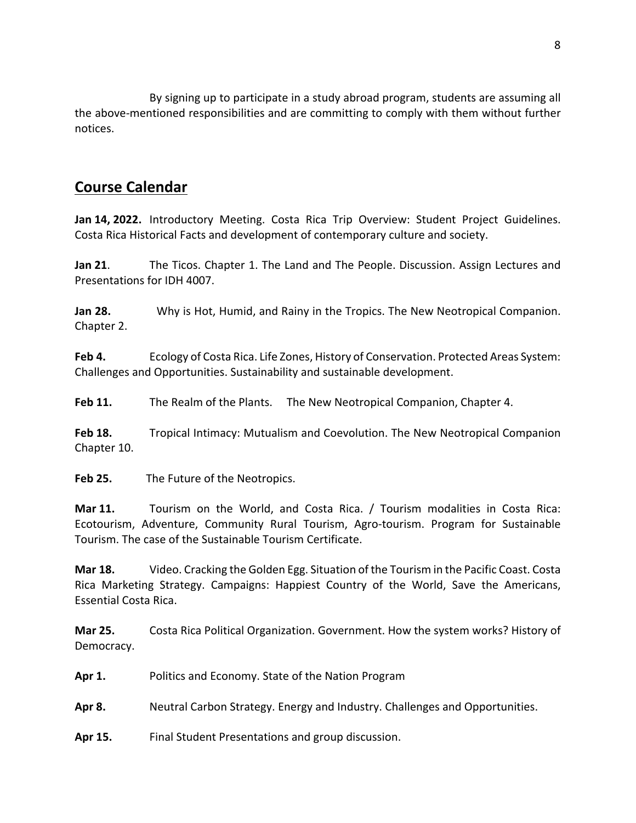By signing up to participate in a study abroad program, students are assuming all the above-mentioned responsibilities and are committing to comply with them without further notices.

## **Course Calendar**

**Jan 14, 2022.** Introductory Meeting. Costa Rica Trip Overview: Student Project Guidelines. Costa Rica Historical Facts and development of contemporary culture and society.

**Jan 21**. The Ticos. Chapter 1. The Land and The People. Discussion. Assign Lectures and Presentations for IDH 4007.

**Jan 28.** Why is Hot, Humid, and Rainy in the Tropics. The New Neotropical Companion. Chapter 2.

**Feb 4.** Ecology of Costa Rica. Life Zones, History of Conservation. Protected Areas System: Challenges and Opportunities. Sustainability and sustainable development.

Feb 11. The Realm of the Plants. The New Neotropical Companion, Chapter 4.

**Feb 18.** Tropical Intimacy: Mutualism and Coevolution. The New Neotropical Companion Chapter 10.

**Feb 25.** The Future of the Neotropics.

**Mar 11.** Tourism on the World, and Costa Rica. / Tourism modalities in Costa Rica: Ecotourism, Adventure, Community Rural Tourism, Agro-tourism. Program for Sustainable Tourism. The case of the Sustainable Tourism Certificate.

**Mar 18.** Video. Cracking the Golden Egg. Situation of the Tourism in the Pacific Coast. Costa Rica Marketing Strategy. Campaigns: Happiest Country of the World, Save the Americans, Essential Costa Rica.

**Mar 25.** Costa Rica Political Organization. Government. How the system works? History of Democracy.

Apr 1. Politics and Economy. State of the Nation Program

**Apr 8.** Neutral Carbon Strategy. Energy and Industry. Challenges and Opportunities.

**Apr 15.** Final Student Presentations and group discussion.